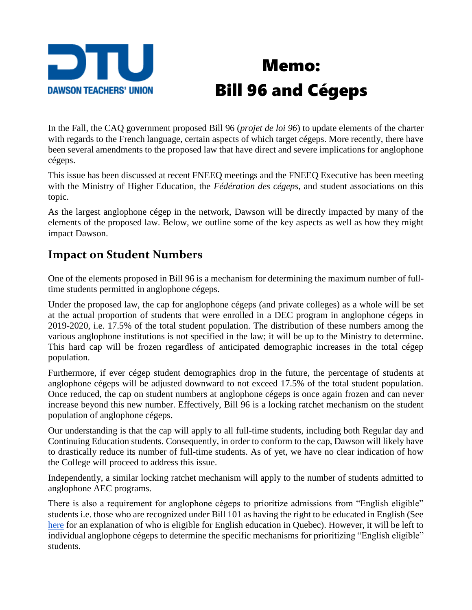

# Memo: Bill 96 and Cégeps

In the Fall, the CAQ government proposed Bill 96 (*projet de loi 96*) to update elements of the charter with regards to the French language, certain aspects of which target cégeps. More recently, there have been several amendments to the proposed law that have direct and severe implications for anglophone cégeps.

This issue has been discussed at recent FNEEQ meetings and the FNEEQ Executive has been meeting with the Ministry of Higher Education, the *Fédération des cégeps*, and student associations on this topic.

As the largest anglophone cégep in the network, Dawson will be directly impacted by many of the elements of the proposed law. Below, we outline some of the key aspects as well as how they might impact Dawson.

#### **Impact on Student Numbers**

One of the elements proposed in Bill 96 is a mechanism for determining the maximum number of fulltime students permitted in anglophone cégeps.

Under the proposed law, the cap for anglophone cégeps (and private colleges) as a whole will be set at the actual proportion of students that were enrolled in a DEC program in anglophone cégeps in 2019-2020, i.e. 17.5% of the total student population. The distribution of these numbers among the various anglophone institutions is not specified in the law; it will be up to the Ministry to determine. This hard cap will be frozen regardless of anticipated demographic increases in the total cégep population.

Furthermore, if ever cégep student demographics drop in the future, the percentage of students at anglophone cégeps will be adjusted downward to not exceed 17.5% of the total student population. Once reduced, the cap on student numbers at anglophone cégeps is once again frozen and can never increase beyond this new number. Effectively, Bill 96 is a locking ratchet mechanism on the student population of anglophone cégeps.

Our understanding is that the cap will apply to all full-time students, including both Regular day and Continuing Education students. Consequently, in order to conform to the cap, Dawson will likely have to drastically reduce its number of full-time students. As of yet, we have no clear indication of how the College will proceed to address this issue.

Independently, a similar locking ratchet mechanism will apply to the number of students admitted to anglophone AEC programs.

There is also a requirement for anglophone cégeps to prioritize admissions from "English eligible" students i.e. those who are recognized under Bill 101 as having the right to be educated in English (See [here](http://www.education.gouv.qc.ca/en/parents-and-guardians/instruction-in-english/eligibility/) for an explanation of who is eligible for English education in Quebec). However, it will be left to individual anglophone cégeps to determine the specific mechanisms for prioritizing "English eligible" students.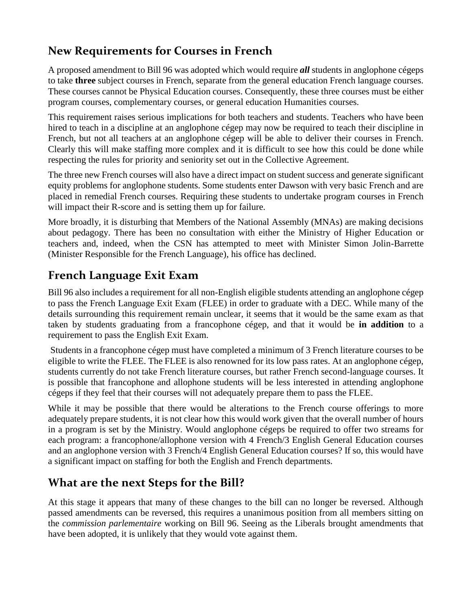#### **New Requirements for Courses in French**

A proposed amendment to Bill 96 was adopted which would require *all* students in anglophone cégeps to take **three** subject courses in French, separate from the general education French language courses. These courses cannot be Physical Education courses. Consequently, these three courses must be either program courses, complementary courses, or general education Humanities courses.

This requirement raises serious implications for both teachers and students. Teachers who have been hired to teach in a discipline at an anglophone cégep may now be required to teach their discipline in French, but not all teachers at an anglophone cégep will be able to deliver their courses in French. Clearly this will make staffing more complex and it is difficult to see how this could be done while respecting the rules for priority and seniority set out in the Collective Agreement.

The three new French courses will also have a direct impact on student success and generate significant equity problems for anglophone students. Some students enter Dawson with very basic French and are placed in remedial French courses. Requiring these students to undertake program courses in French will impact their R-score and is setting them up for failure.

More broadly, it is disturbing that Members of the National Assembly (MNAs) are making decisions about pedagogy. There has been no consultation with either the Ministry of Higher Education or teachers and, indeed, when the CSN has attempted to meet with Minister Simon Jolin-Barrette (Minister Responsible for the French Language), his office has declined.

#### **French Language Exit Exam**

Bill 96 also includes a requirement for all non-English eligible students attending an anglophone cégep to pass the French Language Exit Exam (FLEE) in order to graduate with a DEC. While many of the details surrounding this requirement remain unclear, it seems that it would be the same exam as that taken by students graduating from a francophone cégep, and that it would be **in addition** to a requirement to pass the English Exit Exam.

Students in a francophone cégep must have completed a minimum of 3 French literature courses to be eligible to write the FLEE. The FLEE is also renowned for its low pass rates. At an anglophone cégep, students currently do not take French literature courses, but rather French second-language courses. It is possible that francophone and allophone students will be less interested in attending anglophone cégeps if they feel that their courses will not adequately prepare them to pass the FLEE.

While it may be possible that there would be alterations to the French course offerings to more adequately prepare students, it is not clear how this would work given that the overall number of hours in a program is set by the Ministry. Would anglophone cégeps be required to offer two streams for each program: a francophone/allophone version with 4 French/3 English General Education courses and an anglophone version with 3 French/4 English General Education courses? If so, this would have a significant impact on staffing for both the English and French departments.

### **What are the next Steps for the Bill?**

At this stage it appears that many of these changes to the bill can no longer be reversed. Although passed amendments can be reversed, this requires a unanimous position from all members sitting on the *commission parlementaire* working on Bill 96. Seeing as the Liberals brought amendments that have been adopted, it is unlikely that they would vote against them.